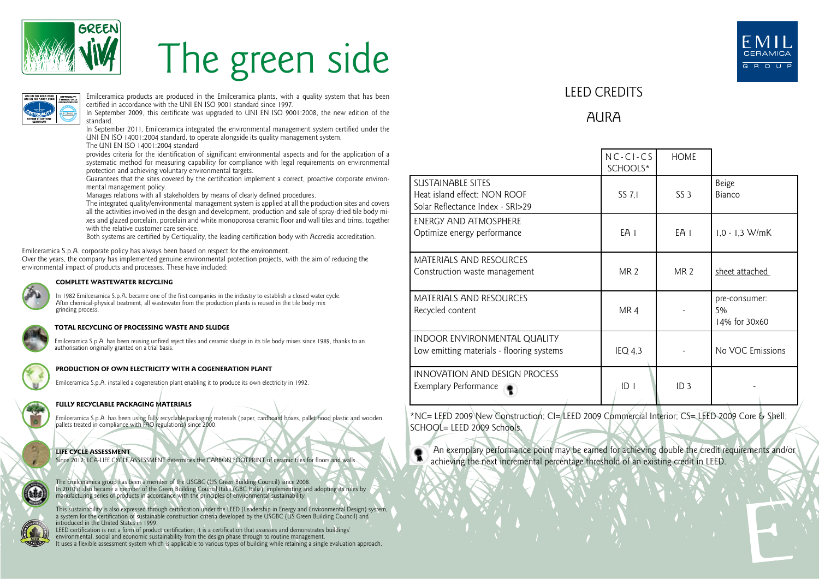

# The green side



Emilceramica products are produced in the Emilceramica plants, with a quality system that has been certified in accordance with the UNI EN ISO 9001 standard since 1997.

In September 2009, this certificate was upgraded to UNI EN ISO 9001:2008, the new edition of the standard.

In September 2011, Emilceramica integrated the environmental management system certified under the UNI EN ISO 14001:2004 standard, to operate alongside its quality management system.

The UNI EN ISO 14001:2004 standard

provides criteria for the identification of significant environmental aspects and for the application of a systematic method for measuring capability for compliance with legal requirements on environmental protection and achieving voluntary environmental targets.

Guarantees that the sites covered by the certification implement a correct, proactive corporate environmental management policy.

Manages relations with all stakeholders by means of clearly defined procedures.

The integrated quality/environmental management system is applied at all the production sites and covers all the activities involved in the design and development, production and sale of spray-dried tile body mixes and glazed porcelain, porcelain and white monoporosa ceramic floor and wall tiles and trims, together with the relative customer care service.

Both systems are certified by Certiquality, the leading certification body with Accredia accreditation.

Emilceramica S.p.A. corporate policy has always been based on respect for the environment.

Over the years, the company has implemented genuine environmental protection projects, with the aim of reducing the environmental impact of products and processes. These have included:



#### **COMPLETE WASTEWATER RECYCLING**

In 1982 Emilceramica S.p.A. became one of the first companies in the industry to establish a closed water cycle. After chemical-physical treatment, all wastewater from the production plants is reused in the tile body mix grinding process.

#### **TOTAL RECYCLING OF PROCESSING WASTE AND SLUDGE**

Emilceramica S.p.A. has been reusing unfired reject tiles and ceramic sludge in its tile body mixes since 1989, thanks to an authorisation originally granted on a trial basis.



#### **PRODUCTION OF OWN ELECTRICITY WITH A COGENERATION PLANT**

Emilceramica S.p.A. installed a cogeneration plant enabling it to produce its own electricity in 1992.

### **FULLY RECYCLABLE PACKAGING MATERIALS**

Emilceramica S.p.A. has been using fully recyclable packaging materials (paper, cardboard boxes, pallet hood plastic and wooden pallets treated in compliance with FAO regulations) since 2000.



**LIFE CYCLE ASSESSMENT**  Since 2012: LCA-LIFE CYCLE ASSESSMENT determines the CARBON FOOTPRINT of ceramic tiles for floors and walls.

The Emilceramica group has been a member of the USGBC (US Green Building Council) since 2008. In 2010 it also became a member of the Green Building Council Italia (GBC Italia), implementing and adopting its rules by manufacturing series of products in accordance with the principles of environmental sustainability.

This sustainability is also expressed through certification under the LEED (Leadership in Energy and Environmental Design) system,<br>a system for the certification of sustainable construction criteria developed by the USGBC introduced in the United States in 1999.

LEED certification is not a form of product certification; it is a certification that assesses and demonstrates buildings' environmental, social and economic sustainability from the design phase through to routine management. It uses a flexible assessment system which is applicable to various types of building while retaining a single evaluation approach.



## LEED CREDITS

## **AURA**

|                                                                                              | $NC-CI-CS$<br>SCHOOLS* | <b>HOME</b>     |                                      |
|----------------------------------------------------------------------------------------------|------------------------|-----------------|--------------------------------------|
| <b>SUSTAINABLE SITES</b><br>Heat island effect: NON ROOF<br>Solar Reflectance Index - SRI>29 | SS 7.1                 | SS <sub>3</sub> | Beige<br>Bianco                      |
| ENERGY AND ATMOSPHERE<br>Optimize energy performance                                         | EA I                   | EA I            | $1.0 - 1.3$ W/mK                     |
| <b>MATERIALS AND RESOURCES</b><br>Construction waste management                              | MR <sub>2</sub>        | MR <sub>2</sub> | sheet attached                       |
| <b>MATERIALS AND RESOURCES</b><br>Recycled content                                           | MR4                    |                 | pre-consumer:<br>5%<br>14% for 30x60 |
| INDOOR ENVIRONMENTAL QUALITY<br>Low emitting materials - flooring systems                    | $IEQ$ 4,3              |                 | No VOC Emissions                     |
| <b>INNOVATION AND DESIGN PROCESS</b><br>Exemplary Performance                                | ID <sub>1</sub>        | ID <sub>3</sub> |                                      |

\*NC= LEED 2009 New Construction; CI= LEED 2009 Commercial Interior; CS= LEED 2009 Core & Shell;  $SCHOOI = I FFD 2009$  Schools.